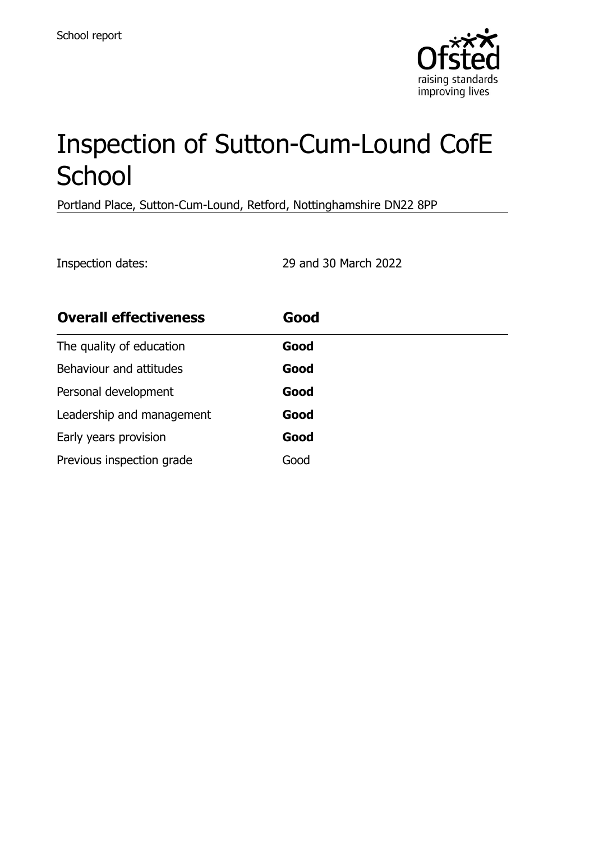

# Inspection of Sutton-Cum-Lound CofE **School**

Portland Place, Sutton-Cum-Lound, Retford, Nottinghamshire DN22 8PP

Inspection dates: 29 and 30 March 2022

| <b>Overall effectiveness</b> | Good |
|------------------------------|------|
| The quality of education     | Good |
| Behaviour and attitudes      | Good |
| Personal development         | Good |
| Leadership and management    | Good |
| Early years provision        | Good |
| Previous inspection grade    | Good |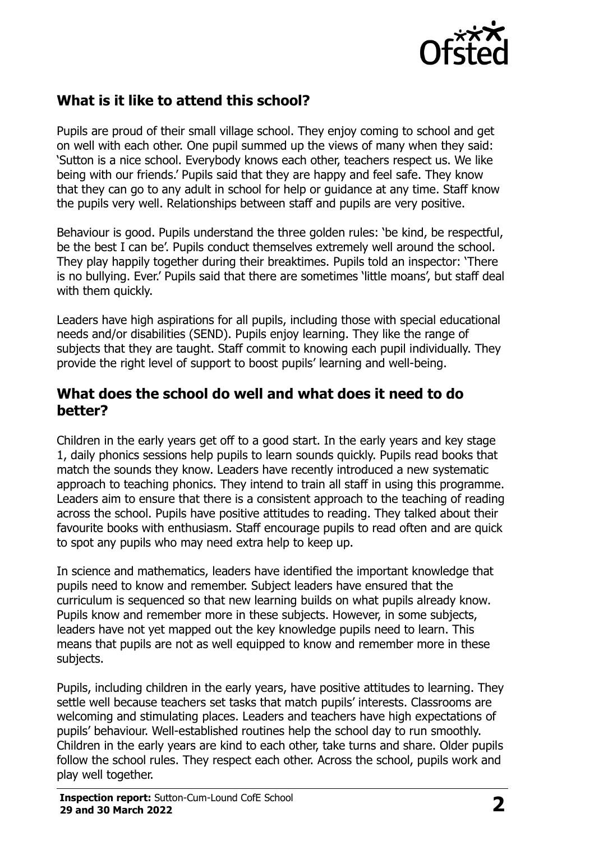

# **What is it like to attend this school?**

Pupils are proud of their small village school. They enjoy coming to school and get on well with each other. One pupil summed up the views of many when they said: 'Sutton is a nice school. Everybody knows each other, teachers respect us. We like being with our friends.' Pupils said that they are happy and feel safe. They know that they can go to any adult in school for help or guidance at any time. Staff know the pupils very well. Relationships between staff and pupils are very positive.

Behaviour is good. Pupils understand the three golden rules: 'be kind, be respectful, be the best I can be'. Pupils conduct themselves extremely well around the school. They play happily together during their breaktimes. Pupils told an inspector: 'There is no bullying. Ever.' Pupils said that there are sometimes 'little moans', but staff deal with them quickly.

Leaders have high aspirations for all pupils, including those with special educational needs and/or disabilities (SEND). Pupils enjoy learning. They like the range of subjects that they are taught. Staff commit to knowing each pupil individually. They provide the right level of support to boost pupils' learning and well-being.

#### **What does the school do well and what does it need to do better?**

Children in the early years get off to a good start. In the early years and key stage 1, daily phonics sessions help pupils to learn sounds quickly. Pupils read books that match the sounds they know. Leaders have recently introduced a new systematic approach to teaching phonics. They intend to train all staff in using this programme. Leaders aim to ensure that there is a consistent approach to the teaching of reading across the school. Pupils have positive attitudes to reading. They talked about their favourite books with enthusiasm. Staff encourage pupils to read often and are quick to spot any pupils who may need extra help to keep up.

In science and mathematics, leaders have identified the important knowledge that pupils need to know and remember. Subject leaders have ensured that the curriculum is sequenced so that new learning builds on what pupils already know. Pupils know and remember more in these subjects. However, in some subjects, leaders have not yet mapped out the key knowledge pupils need to learn. This means that pupils are not as well equipped to know and remember more in these subjects.

Pupils, including children in the early years, have positive attitudes to learning. They settle well because teachers set tasks that match pupils' interests. Classrooms are welcoming and stimulating places. Leaders and teachers have high expectations of pupils' behaviour. Well-established routines help the school day to run smoothly. Children in the early years are kind to each other, take turns and share. Older pupils follow the school rules. They respect each other. Across the school, pupils work and play well together.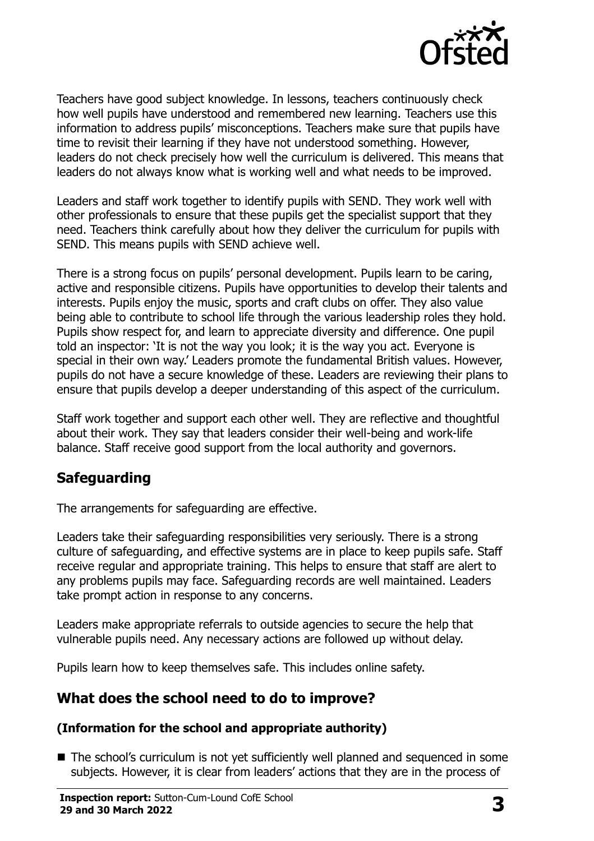

Teachers have good subject knowledge. In lessons, teachers continuously check how well pupils have understood and remembered new learning. Teachers use this information to address pupils' misconceptions. Teachers make sure that pupils have time to revisit their learning if they have not understood something. However, leaders do not check precisely how well the curriculum is delivered. This means that leaders do not always know what is working well and what needs to be improved.

Leaders and staff work together to identify pupils with SEND. They work well with other professionals to ensure that these pupils get the specialist support that they need. Teachers think carefully about how they deliver the curriculum for pupils with SEND. This means pupils with SEND achieve well.

There is a strong focus on pupils' personal development. Pupils learn to be caring, active and responsible citizens. Pupils have opportunities to develop their talents and interests. Pupils enjoy the music, sports and craft clubs on offer. They also value being able to contribute to school life through the various leadership roles they hold. Pupils show respect for, and learn to appreciate diversity and difference. One pupil told an inspector: 'It is not the way you look; it is the way you act. Everyone is special in their own way.' Leaders promote the fundamental British values. However, pupils do not have a secure knowledge of these. Leaders are reviewing their plans to ensure that pupils develop a deeper understanding of this aspect of the curriculum.

Staff work together and support each other well. They are reflective and thoughtful about their work. They say that leaders consider their well-being and work-life balance. Staff receive good support from the local authority and governors.

### **Safeguarding**

The arrangements for safeguarding are effective.

Leaders take their safeguarding responsibilities very seriously. There is a strong culture of safeguarding, and effective systems are in place to keep pupils safe. Staff receive regular and appropriate training. This helps to ensure that staff are alert to any problems pupils may face. Safeguarding records are well maintained. Leaders take prompt action in response to any concerns.

Leaders make appropriate referrals to outside agencies to secure the help that vulnerable pupils need. Any necessary actions are followed up without delay.

Pupils learn how to keep themselves safe. This includes online safety.

### **What does the school need to do to improve?**

#### **(Information for the school and appropriate authority)**

■ The school's curriculum is not yet sufficiently well planned and sequenced in some subjects. However, it is clear from leaders' actions that they are in the process of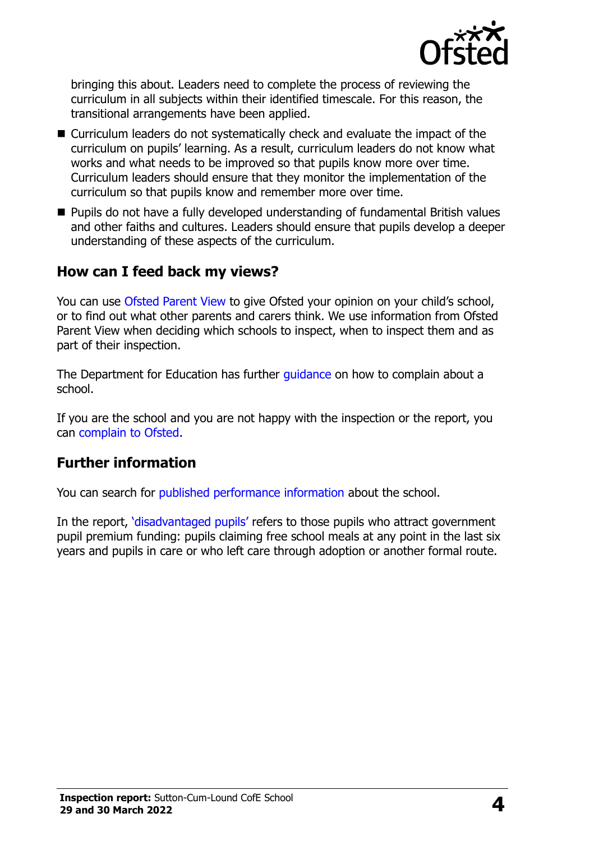

bringing this about. Leaders need to complete the process of reviewing the curriculum in all subjects within their identified timescale. For this reason, the transitional arrangements have been applied.

- Curriculum leaders do not systematically check and evaluate the impact of the curriculum on pupils' learning. As a result, curriculum leaders do not know what works and what needs to be improved so that pupils know more over time. Curriculum leaders should ensure that they monitor the implementation of the curriculum so that pupils know and remember more over time.
- **Pupils do not have a fully developed understanding of fundamental British values** and other faiths and cultures. Leaders should ensure that pupils develop a deeper understanding of these aspects of the curriculum.

### **How can I feed back my views?**

You can use [Ofsted Parent View](http://parentview.ofsted.gov.uk/) to give Ofsted your opinion on your child's school, or to find out what other parents and carers think. We use information from Ofsted Parent View when deciding which schools to inspect, when to inspect them and as part of their inspection.

The Department for Education has further quidance on how to complain about a school.

If you are the school and you are not happy with the inspection or the report, you can [complain to Ofsted.](http://www.gov.uk/complain-ofsted-report)

### **Further information**

You can search for [published performance information](http://www.compare-school-performance.service.gov.uk/) about the school.

In the report, '[disadvantaged pupils](http://www.gov.uk/guidance/pupil-premium-information-for-schools-and-alternative-provision-settings)' refers to those pupils who attract government pupil premium funding: pupils claiming free school meals at any point in the last six years and pupils in care or who left care through adoption or another formal route.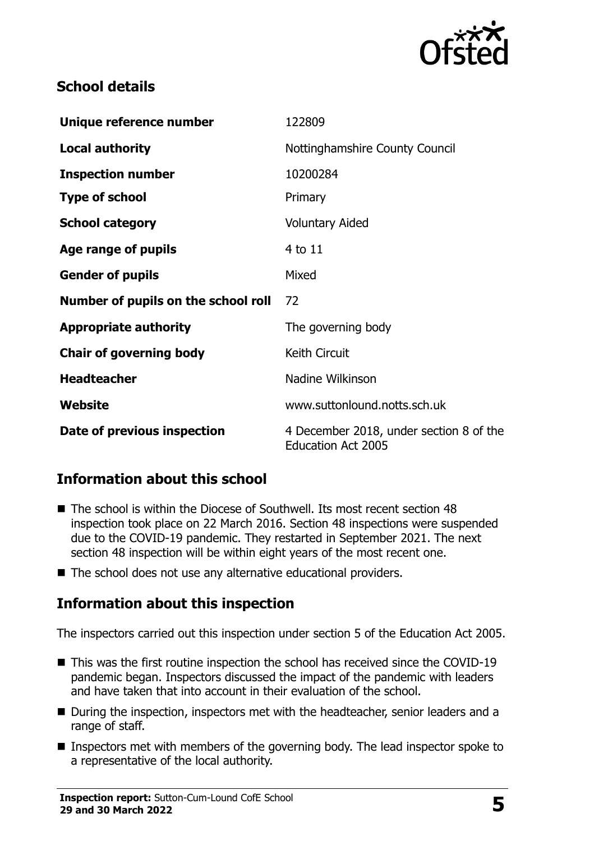

## **School details**

| Unique reference number             | 122809                                                               |
|-------------------------------------|----------------------------------------------------------------------|
| <b>Local authority</b>              | Nottinghamshire County Council                                       |
| <b>Inspection number</b>            | 10200284                                                             |
| <b>Type of school</b>               | Primary                                                              |
| <b>School category</b>              | <b>Voluntary Aided</b>                                               |
| Age range of pupils                 | 4 to 11                                                              |
| <b>Gender of pupils</b>             | Mixed                                                                |
| Number of pupils on the school roll | 72                                                                   |
| <b>Appropriate authority</b>        | The governing body                                                   |
| <b>Chair of governing body</b>      | Keith Circuit                                                        |
| <b>Headteacher</b>                  | Nadine Wilkinson                                                     |
| Website                             | www.suttonlound.notts.sch.uk                                         |
| Date of previous inspection         | 4 December 2018, under section 8 of the<br><b>Education Act 2005</b> |

# **Information about this school**

- The school is within the Diocese of Southwell. Its most recent section 48 inspection took place on 22 March 2016. Section 48 inspections were suspended due to the COVID-19 pandemic. They restarted in September 2021. The next section 48 inspection will be within eight years of the most recent one.
- The school does not use any alternative educational providers.

### **Information about this inspection**

The inspectors carried out this inspection under section 5 of the Education Act 2005.

- This was the first routine inspection the school has received since the COVID-19 pandemic began. Inspectors discussed the impact of the pandemic with leaders and have taken that into account in their evaluation of the school.
- During the inspection, inspectors met with the headteacher, senior leaders and a range of staff.
- Inspectors met with members of the governing body. The lead inspector spoke to a representative of the local authority.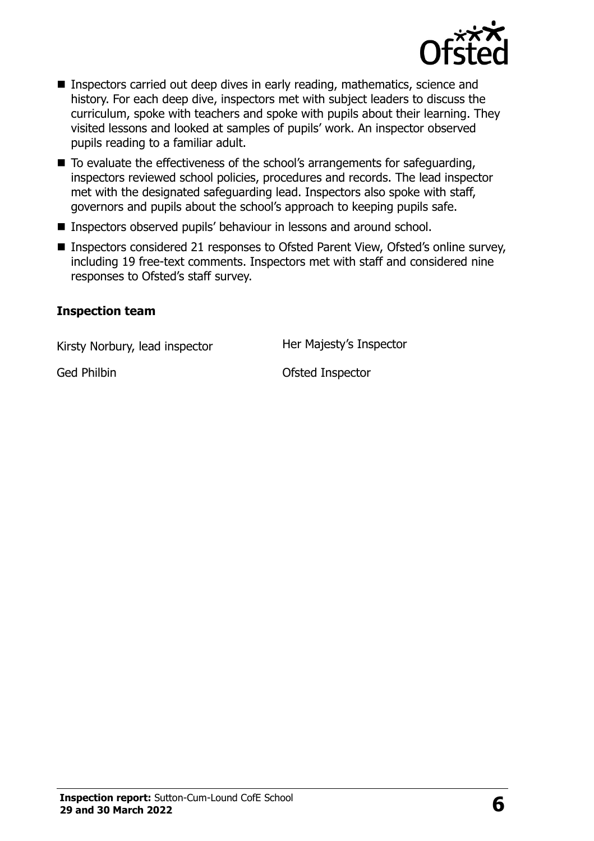

- Inspectors carried out deep dives in early reading, mathematics, science and history. For each deep dive, inspectors met with subject leaders to discuss the curriculum, spoke with teachers and spoke with pupils about their learning. They visited lessons and looked at samples of pupils' work. An inspector observed pupils reading to a familiar adult.
- $\blacksquare$  To evaluate the effectiveness of the school's arrangements for safeguarding, inspectors reviewed school policies, procedures and records. The lead inspector met with the designated safeguarding lead. Inspectors also spoke with staff, governors and pupils about the school's approach to keeping pupils safe.
- Inspectors observed pupils' behaviour in lessons and around school.
- Inspectors considered 21 responses to Ofsted Parent View, Ofsted's online survey, including 19 free-text comments. Inspectors met with staff and considered nine responses to Ofsted's staff survey.

#### **Inspection team**

Kirsty Norbury, lead inspector Her Majesty's Inspector

Ged Philbin **Ged Philbin CELL COLLEGE I**nspector